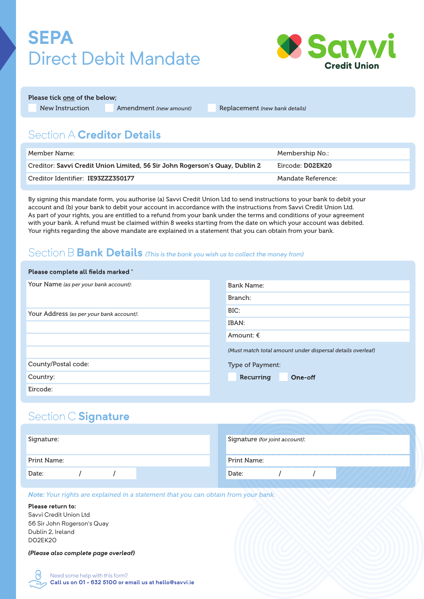# **SEPA**  Direct Debit Mandate



Please tick one of the below;

New Instruction Amendment *(new amount)* Replacement *(new bank details)*

## Section A **Creditor Details**

| Member Name: \                                                              | Membership No.:    |
|-----------------------------------------------------------------------------|--------------------|
| Creditor: Savvi Credit Union Limited, 56 Sir John Rogerson's Quay, Dublin 2 | Eircode: D02EK20   |
| Creditor Identifier: IE93ZZZ350177                                          | Mandate Reference: |

By signing this mandate form, you authorise (a) Savvi Credit Union Ltd to send instructions to your bank to debit your account and (b) your bank to debit your account in accordance with the instructions from Savvi Credit Union Ltd. As part of your rights, you are entitled to a refund from your bank under the terms and conditions of your agreement with your bank. A refund must be claimed within 8 weeks starting from the date on which your account was debited. Your rights regarding the above mandate are explained in a statement that you can obtain from your bank.

### Section B **Bank Details** *(This is the bank you wish us to collect the money from)*

| Please complete all fields marked *      |                                                            |  |  |  |
|------------------------------------------|------------------------------------------------------------|--|--|--|
| Your Name (as per your bank account):    | <b>Bank Name:</b>                                          |  |  |  |
|                                          | Branch:                                                    |  |  |  |
| Your Address (as per your bank account): | BIC:                                                       |  |  |  |
|                                          | IBAN:                                                      |  |  |  |
|                                          | Amount: $\epsilon$                                         |  |  |  |
|                                          | (Must match total amount under dispersal details overleaf) |  |  |  |
| County/Postal code:                      | Type of Payment:                                           |  |  |  |
| Country:                                 | Recurring<br>One-off                                       |  |  |  |
| Eircode:                                 |                                                            |  |  |  |

### Section C **Signature**

| Signature:  |  | Signature (for joint account): |             |  |
|-------------|--|--------------------------------|-------------|--|
|             |  |                                |             |  |
| Print Name: |  |                                | Print Name: |  |
| Date:       |  |                                | Date:       |  |
|             |  |                                |             |  |

*Note: Your rights are explained in a statement that you can obtain from your bank.*

#### **Please return to:**

Savvi Credit Union Ltd 56 Sir John Rogerson's Quay Dublin 2, Ireland D02EK20

*(Please also complete page overleaf)*

Need some help with this form? **Call us on 01 - 632 5100 or email us at hello@savvi.ie**